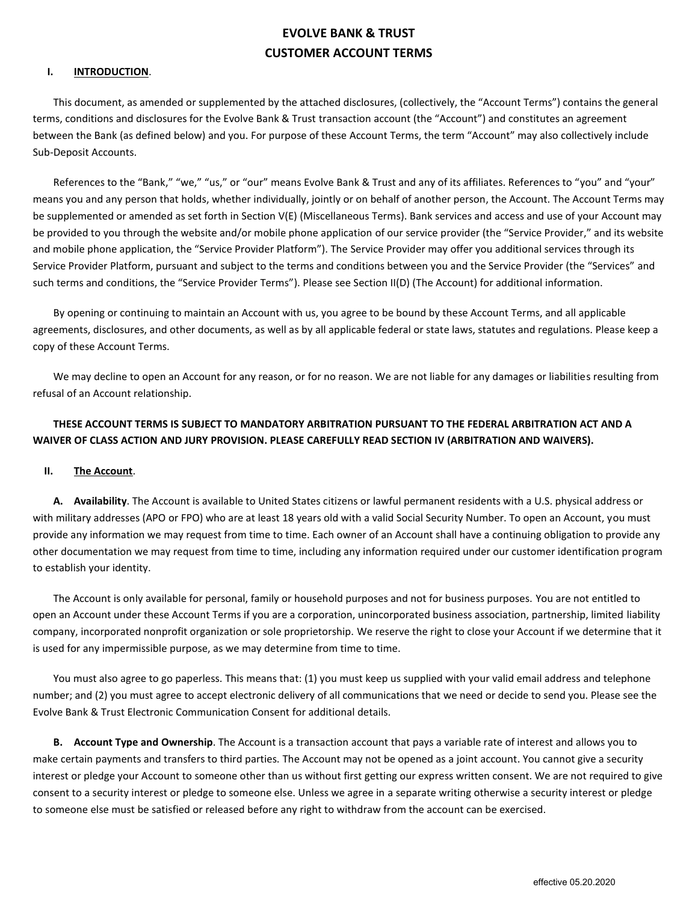# **EVOLVE BANK & TRUST CUSTOMER ACCOUNT TERMS**

### **I. INTRODUCTION**.

This document, as amended or supplemented by the attached disclosures, (collectively, the "Account Terms") contains the general terms, conditions and disclosures for the Evolve Bank & Trust transaction account (the "Account") and constitutes an agreement between the Bank (as defined below) and you. For purpose of these Account Terms, the term "Account" may also collectively include Sub-Deposit Accounts.

References to the "Bank," "we," "us," or "our" means Evolve Bank & Trust and any of its affiliates. References to "you" and "your" means you and any person that holds, whether individually, jointly or on behalf of another person, the Account. The Account Terms may be supplemented or amended as set forth in Section V(E) (Miscellaneous Terms). Bank services and access and use of your Account may be provided to you through the website and/or mobile phone application of our service provider (the "Service Provider," and its website and mobile phone application, the "Service Provider Platform"). The Service Provider may offer you additional services through its Service Provider Platform, pursuant and subject to the terms and conditions between you and the Service Provider (the "Services" and such terms and conditions, the "Service Provider Terms"). Please see Section II(D) (The Account) for additional information.

By opening or continuing to maintain an Account with us, you agree to be bound by these Account Terms, and all applicable agreements, disclosures, and other documents, as well as by all applicable federal or state laws, statutes and regulations. Please keep a copy of these Account Terms.

We may decline to open an Account for any reason, or for no reason. We are not liable for any damages or liabilities resulting from refusal of an Account relationship.

# **THESE ACCOUNT TERMS IS SUBJECT TO MANDATORY ARBITRATION PURSUANT TO THE FEDERAL ARBITRATION ACT AND A WAIVER OF CLASS ACTION AND JURY PROVISION. PLEASE CAREFULLY READ SECTION IV (ARBITRATION AND WAIVERS).**

### **II. The Account**.

**A. Availability**. The Account is available to United States citizens or lawful permanent residents with a U.S. physical address or with military addresses (APO or FPO) who are at least 18 years old with a valid Social Security Number. To open an Account, you must provide any information we may request from time to time. Each owner of an Account shall have a continuing obligation to provide any other documentation we may request from time to time, including any information required under our customer identification program to establish your identity.

The Account is only available for personal, family or household purposes and not for business purposes. You are not entitled to open an Account under these Account Terms if you are a corporation, unincorporated business association, partnership, limited liability company, incorporated nonprofit organization or sole proprietorship. We reserve the right to close your Account if we determine that it is used for any impermissible purpose, as we may determine from time to time.

You must also agree to go paperless. This means that: (1) you must keep us supplied with your valid email address and telephone number; and (2) you must agree to accept electronic delivery of all communications that we need or decide to send you. Please see the Evolve Bank & Trust Electronic Communication Consent for additional details.

**B. Account Type and Ownership**. The Account is a transaction account that pays a variable rate of interest and allows you to make certain payments and transfers to third parties. The Account may not be opened as a joint account. You cannot give a security interest or pledge your Account to someone other than us without first getting our express written consent. We are not required to give consent to a security interest or pledge to someone else. Unless we agree in a separate writing otherwise a security interest or pledge to someone else must be satisfied or released before any right to withdraw from the account can be exercised.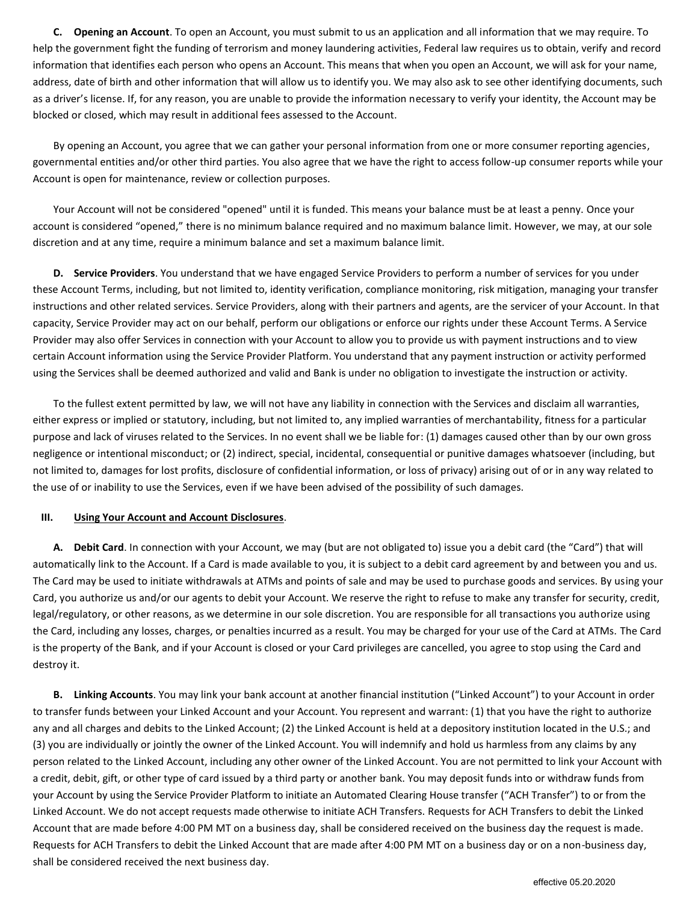**C. Opening an Account**. To open an Account, you must submit to us an application and all information that we may require. To help the government fight the funding of terrorism and money laundering activities, Federal law requires us to obtain, verify and record information that identifies each person who opens an Account. This means that when you open an Account, we will ask for your name, address, date of birth and other information that will allow us to identify you. We may also ask to see other identifying documents, such as a driver's license. If, for any reason, you are unable to provide the information necessary to verify your identity, the Account may be blocked or closed, which may result in additional fees assessed to the Account.

By opening an Account, you agree that we can gather your personal information from one or more consumer reporting agencies, governmental entities and/or other third parties. You also agree that we have the right to access follow-up consumer reports while your Account is open for maintenance, review or collection purposes.

Your Account will not be considered "opened" until it is funded. This means your balance must be at least a penny. Once your account is considered "opened," there is no minimum balance required and no maximum balance limit. However, we may, at our sole discretion and at any time, require a minimum balance and set a maximum balance limit.

**D. Service Providers**. You understand that we have engaged Service Providers to perform a number of services for you under these Account Terms, including, but not limited to, identity verification, compliance monitoring, risk mitigation, managing your transfer instructions and other related services. Service Providers, along with their partners and agents, are the servicer of your Account. In that capacity, Service Provider may act on our behalf, perform our obligations or enforce our rights under these Account Terms. A Service Provider may also offer Services in connection with your Account to allow you to provide us with payment instructions and to view certain Account information using the Service Provider Platform. You understand that any payment instruction or activity performed using the Services shall be deemed authorized and valid and Bank is under no obligation to investigate the instruction or activity.

To the fullest extent permitted by law, we will not have any liability in connection with the Services and disclaim all warranties, either express or implied or statutory, including, but not limited to, any implied warranties of merchantability, fitness for a particular purpose and lack of viruses related to the Services. In no event shall we be liable for: (1) damages caused other than by our own gross negligence or intentional misconduct; or (2) indirect, special, incidental, consequential or punitive damages whatsoever (including, but not limited to, damages for lost profits, disclosure of confidential information, or loss of privacy) arising out of or in any way related to the use of or inability to use the Services, even if we have been advised of the possibility of such damages.

### **III. Using Your Account and Account Disclosures**.

**A. Debit Card**. In connection with your Account, we may (but are not obligated to) issue you a debit card (the "Card") that will automatically link to the Account. If a Card is made available to you, it is subject to a debit card agreement by and between you and us. The Card may be used to initiate withdrawals at ATMs and points of sale and may be used to purchase goods and services. By using your Card, you authorize us and/or our agents to debit your Account. We reserve the right to refuse to make any transfer for security, credit, legal/regulatory, or other reasons, as we determine in our sole discretion. You are responsible for all transactions you authorize using the Card, including any losses, charges, or penalties incurred as a result. You may be charged for your use of the Card at ATMs. The Card is the property of the Bank, and if your Account is closed or your Card privileges are cancelled, you agree to stop using the Card and destroy it.

**B. Linking Accounts**. You may link your bank account at another financial institution ("Linked Account") to your Account in order to transfer funds between your Linked Account and your Account. You represent and warrant: (1) that you have the right to authorize any and all charges and debits to the Linked Account; (2) the Linked Account is held at a depository institution located in the U.S.; and (3) you are individually or jointly the owner of the Linked Account. You will indemnify and hold us harmless from any claims by any person related to the Linked Account, including any other owner of the Linked Account. You are not permitted to link your Account with a credit, debit, gift, or other type of card issued by a third party or another bank. You may deposit funds into or withdraw funds from your Account by using the Service Provider Platform to initiate an Automated Clearing House transfer ("ACH Transfer") to or from the Linked Account. We do not accept requests made otherwise to initiate ACH Transfers. Requests for ACH Transfers to debit the Linked Account that are made before 4:00 PM MT on a business day, shall be considered received on the business day the request is made. Requests for ACH Transfers to debit the Linked Account that are made after 4:00 PM MT on a business day or on a non-business day, shall be considered received the next business day.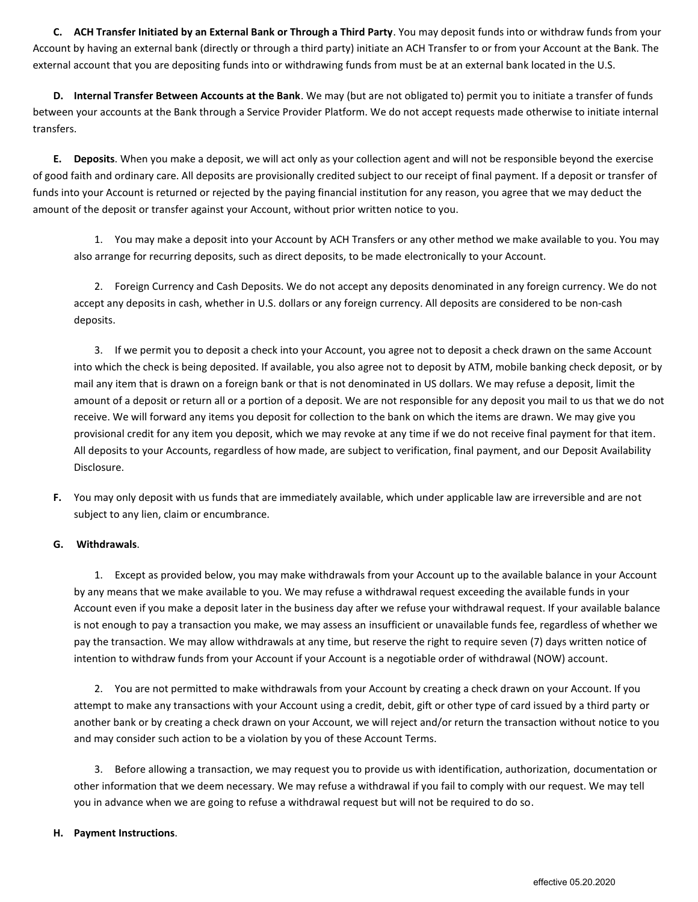**C. ACH Transfer Initiated by an External Bank or Through a Third Party**. You may deposit funds into or withdraw funds from your Account by having an external bank (directly or through a third party) initiate an ACH Transfer to or from your Account at the Bank. The external account that you are depositing funds into or withdrawing funds from must be at an external bank located in the U.S.

**D. Internal Transfer Between Accounts at the Bank**. We may (but are not obligated to) permit you to initiate a transfer of funds between your accounts at the Bank through a Service Provider Platform. We do not accept requests made otherwise to initiate internal transfers.

**E. Deposits**. When you make a deposit, we will act only as your collection agent and will not be responsible beyond the exercise of good faith and ordinary care. All deposits are provisionally credited subject to our receipt of final payment. If a deposit or transfer of funds into your Account is returned or rejected by the paying financial institution for any reason, you agree that we may deduct the amount of the deposit or transfer against your Account, without prior written notice to you.

1. You may make a deposit into your Account by ACH Transfers or any other method we make available to you. You may also arrange for recurring deposits, such as direct deposits, to be made electronically to your Account.

2. Foreign Currency and Cash Deposits. We do not accept any deposits denominated in any foreign currency. We do not accept any deposits in cash, whether in U.S. dollars or any foreign currency. All deposits are considered to be non-cash deposits.

3. If we permit you to deposit a check into your Account, you agree not to deposit a check drawn on the same Account into which the check is being deposited. If available, you also agree not to deposit by ATM, mobile banking check deposit, or by mail any item that is drawn on a foreign bank or that is not denominated in US dollars. We may refuse a deposit, limit the amount of a deposit or return all or a portion of a deposit. We are not responsible for any deposit you mail to us that we do not receive. We will forward any items you deposit for collection to the bank on which the items are drawn. We may give you provisional credit for any item you deposit, which we may revoke at any time if we do not receive final payment for that item. All deposits to your Accounts, regardless of how made, are subject to verification, final payment, and our Deposit Availability Disclosure.

**F.** You may only deposit with us funds that are immediately available, which under applicable law are irreversible and are not subject to any lien, claim or encumbrance.

# **G. Withdrawals**.

1. Except as provided below, you may make withdrawals from your Account up to the available balance in your Account by any means that we make available to you. We may refuse a withdrawal request exceeding the available funds in your Account even if you make a deposit later in the business day after we refuse your withdrawal request. If your available balance is not enough to pay a transaction you make, we may assess an insufficient or unavailable funds fee, regardless of whether we pay the transaction. We may allow withdrawals at any time, but reserve the right to require seven (7) days written notice of intention to withdraw funds from your Account if your Account is a negotiable order of withdrawal (NOW) account.

2. You are not permitted to make withdrawals from your Account by creating a check drawn on your Account. If you attempt to make any transactions with your Account using a credit, debit, gift or other type of card issued by a third party or another bank or by creating a check drawn on your Account, we will reject and/or return the transaction without notice to you and may consider such action to be a violation by you of these Account Terms.

3. Before allowing a transaction, we may request you to provide us with identification, authorization, documentation or other information that we deem necessary. We may refuse a withdrawal if you fail to comply with our request. We may tell you in advance when we are going to refuse a withdrawal request but will not be required to do so.

# **H. Payment Instructions**.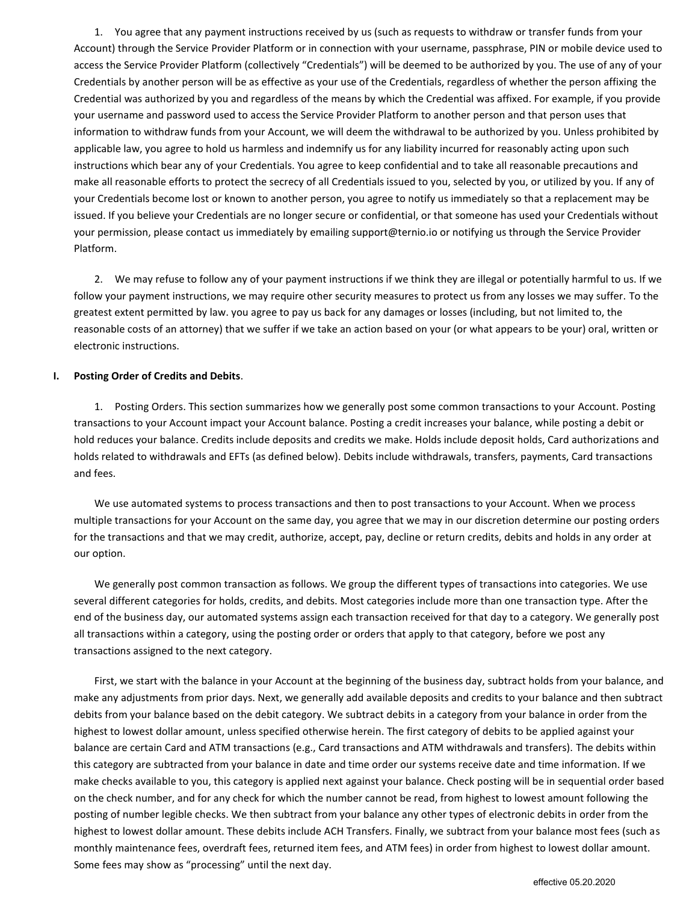1. You agree that any payment instructions received by us (such as requests to withdraw or transfer funds from your Account) through the Service Provider Platform or in connection with your username, passphrase, PIN or mobile device used to access the Service Provider Platform (collectively "Credentials") will be deemed to be authorized by you. The use of any of your Credentials by another person will be as effective as your use of the Credentials, regardless of whether the person affixing the Credential was authorized by you and regardless of the means by which the Credential was affixed. For example, if you provide your username and password used to access the Service Provider Platform to another person and that person uses that information to withdraw funds from your Account, we will deem the withdrawal to be authorized by you. Unless prohibited by applicable law, you agree to hold us harmless and indemnify us for any liability incurred for reasonably acting upon such instructions which bear any of your Credentials. You agree to keep confidential and to take all reasonable precautions and make all reasonable efforts to protect the secrecy of all Credentials issued to you, selected by you, or utilized by you. If any of your Credentials become lost or known to another person, you agree to notify us immediately so that a replacement may be issued. If you believe your Credentials are no longer secure or confidential, or that someone has used your Credentials without your permission, please contact us immediately by emailing support@ternio.io or notifying us through the Service Provider Platform.

2. We may refuse to follow any of your payment instructions if we think they are illegal or potentially harmful to us. If we follow your payment instructions, we may require other security measures to protect us from any losses we may suffer. To the greatest extent permitted by law. you agree to pay us back for any damages or losses (including, but not limited to, the reasonable costs of an attorney) that we suffer if we take an action based on your (or what appears to be your) oral, written or electronic instructions.

### **I. Posting Order of Credits and Debits**.

1. Posting Orders. This section summarizes how we generally post some common transactions to your Account. Posting transactions to your Account impact your Account balance. Posting a credit increases your balance, while posting a debit or hold reduces your balance. Credits include deposits and credits we make. Holds include deposit holds, Card authorizations and holds related to withdrawals and EFTs (as defined below). Debits include withdrawals, transfers, payments, Card transactions and fees.

We use automated systems to process transactions and then to post transactions to your Account. When we process multiple transactions for your Account on the same day, you agree that we may in our discretion determine our posting orders for the transactions and that we may credit, authorize, accept, pay, decline or return credits, debits and holds in any order at our option.

We generally post common transaction as follows. We group the different types of transactions into categories. We use several different categories for holds, credits, and debits. Most categories include more than one transaction type. After the end of the business day, our automated systems assign each transaction received for that day to a category. We generally post all transactions within a category, using the posting order or orders that apply to that category, before we post any transactions assigned to the next category.

First, we start with the balance in your Account at the beginning of the business day, subtract holds from your balance, and make any adjustments from prior days. Next, we generally add available deposits and credits to your balance and then subtract debits from your balance based on the debit category. We subtract debits in a category from your balance in order from the highest to lowest dollar amount, unless specified otherwise herein. The first category of debits to be applied against your balance are certain Card and ATM transactions (e.g., Card transactions and ATM withdrawals and transfers). The debits within this category are subtracted from your balance in date and time order our systems receive date and time information. If we make checks available to you, this category is applied next against your balance. Check posting will be in sequential order based on the check number, and for any check for which the number cannot be read, from highest to lowest amount following the posting of number legible checks. We then subtract from your balance any other types of electronic debits in order from the highest to lowest dollar amount. These debits include ACH Transfers. Finally, we subtract from your balance most fees (such as monthly maintenance fees, overdraft fees, returned item fees, and ATM fees) in order from highest to lowest dollar amount. Some fees may show as "processing" until the next day.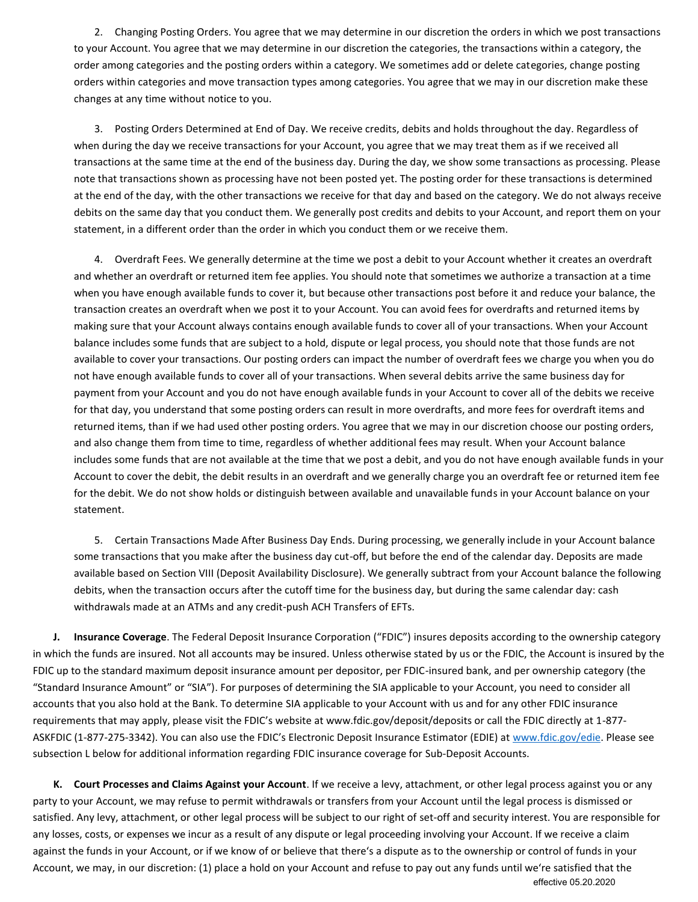2. Changing Posting Orders. You agree that we may determine in our discretion the orders in which we post transactions to your Account. You agree that we may determine in our discretion the categories, the transactions within a category, the order among categories and the posting orders within a category. We sometimes add or delete categories, change posting orders within categories and move transaction types among categories. You agree that we may in our discretion make these changes at any time without notice to you.

3. Posting Orders Determined at End of Day. We receive credits, debits and holds throughout the day. Regardless of when during the day we receive transactions for your Account, you agree that we may treat them as if we received all transactions at the same time at the end of the business day. During the day, we show some transactions as processing. Please note that transactions shown as processing have not been posted yet. The posting order for these transactions is determined at the end of the day, with the other transactions we receive for that day and based on the category. We do not always receive debits on the same day that you conduct them. We generally post credits and debits to your Account, and report them on your statement, in a different order than the order in which you conduct them or we receive them.

4. Overdraft Fees. We generally determine at the time we post a debit to your Account whether it creates an overdraft and whether an overdraft or returned item fee applies. You should note that sometimes we authorize a transaction at a time when you have enough available funds to cover it, but because other transactions post before it and reduce your balance, the transaction creates an overdraft when we post it to your Account. You can avoid fees for overdrafts and returned items by making sure that your Account always contains enough available funds to cover all of your transactions. When your Account balance includes some funds that are subject to a hold, dispute or legal process, you should note that those funds are not available to cover your transactions. Our posting orders can impact the number of overdraft fees we charge you when you do not have enough available funds to cover all of your transactions. When several debits arrive the same business day for payment from your Account and you do not have enough available funds in your Account to cover all of the debits we receive for that day, you understand that some posting orders can result in more overdrafts, and more fees for overdraft items and returned items, than if we had used other posting orders. You agree that we may in our discretion choose our posting orders, and also change them from time to time, regardless of whether additional fees may result. When your Account balance includes some funds that are not available at the time that we post a debit, and you do not have enough available funds in your Account to cover the debit, the debit results in an overdraft and we generally charge you an overdraft fee or returned item fee for the debit. We do not show holds or distinguish between available and unavailable funds in your Account balance on your statement.

5. Certain Transactions Made After Business Day Ends. During processing, we generally include in your Account balance some transactions that you make after the business day cut-off, but before the end of the calendar day. Deposits are made available based on Section VIII (Deposit Availability Disclosure). We generally subtract from your Account balance the following debits, when the transaction occurs after the cutoff time for the business day, but during the same calendar day: cash withdrawals made at an ATMs and any credit-push ACH Transfers of EFTs.

**J. Insurance Coverage**. The Federal Deposit Insurance Corporation ("FDIC") insures deposits according to the ownership category in which the funds are insured. Not all accounts may be insured. Unless otherwise stated by us or the FDIC, the Account is insured by the FDIC up to the standard maximum deposit insurance amount per depositor, per FDIC-insured bank, and per ownership category (the "Standard Insurance Amount" or "SIA"). For purposes of determining the SIA applicable to your Account, you need to consider all accounts that you also hold at the Bank. To determine SIA applicable to your Account with us and for any other FDIC insurance requirements that may apply, please visit the FDIC's website at www.fdic.gov/deposit/deposits or call the FDIC directly at 1-877- ASKFDIC (1-877-275-3342). You can also use the FDIC's Electronic Deposit Insurance Estimator (EDIE) at [www.fdic.gov/edie.](http://www.fdic.gov/edie) Please see subsection L below for additional information regarding FDIC insurance coverage for Sub-Deposit Accounts.

**K. Court Processes and Claims Against your Account**. If we receive a levy, attachment, or other legal process against you or any party to your Account, we may refuse to permit withdrawals or transfers from your Account until the legal process is dismissed or satisfied. Any levy, attachment, or other legal process will be subject to our right of set-off and security interest. You are responsible for any losses, costs, or expenses we incur as a result of any dispute or legal proceeding involving your Account. If we receive a claim against the funds in your Account, or if we know of or believe that there's a dispute as to the ownership or control of funds in your Account, we may, in our discretion: (1) place a hold on your Account and refuse to pay out any funds until we're satisfied that the effective 05.20.2020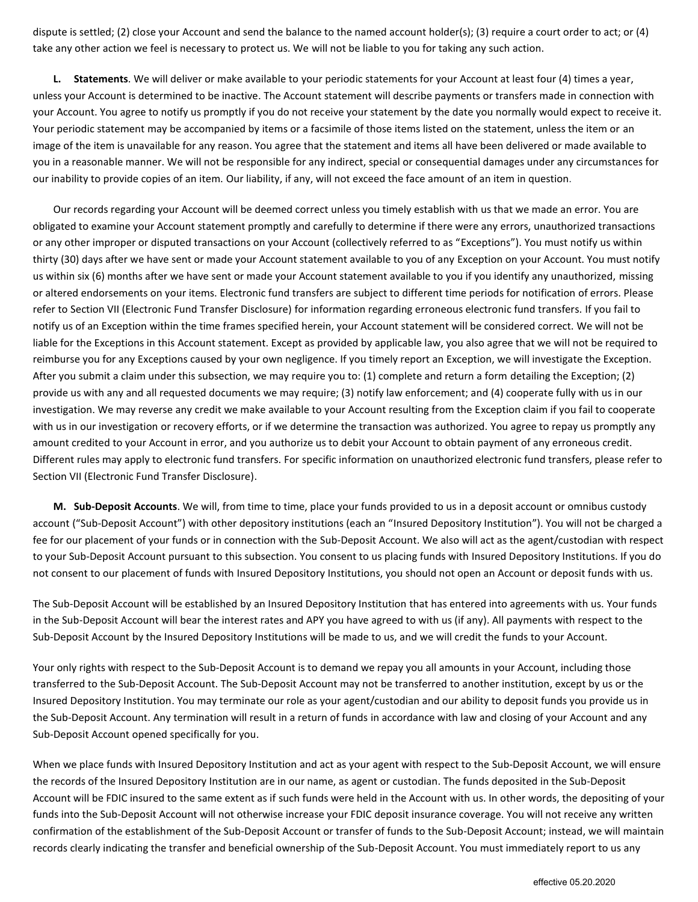dispute is settled; (2) close your Account and send the balance to the named account holder(s); (3) require a court order to act; or (4) take any other action we feel is necessary to protect us. We will not be liable to you for taking any such action.

**L. Statements**. We will deliver or make available to your periodic statements for your Account at least four (4) times a year, unless your Account is determined to be inactive. The Account statement will describe payments or transfers made in connection with your Account. You agree to notify us promptly if you do not receive your statement by the date you normally would expect to receive it. Your periodic statement may be accompanied by items or a facsimile of those items listed on the statement, unless the item or an image of the item is unavailable for any reason. You agree that the statement and items all have been delivered or made available to you in a reasonable manner. We will not be responsible for any indirect, special or consequential damages under any circumstances for our inability to provide copies of an item. Our liability, if any, will not exceed the face amount of an item in question.

Our records regarding your Account will be deemed correct unless you timely establish with us that we made an error. You are obligated to examine your Account statement promptly and carefully to determine if there were any errors, unauthorized transactions or any other improper or disputed transactions on your Account (collectively referred to as "Exceptions"). You must notify us within thirty (30) days after we have sent or made your Account statement available to you of any Exception on your Account. You must notify us within six (6) months after we have sent or made your Account statement available to you if you identify any unauthorized, missing or altered endorsements on your items. Electronic fund transfers are subject to different time periods for notification of errors. Please refer to Section VII (Electronic Fund Transfer Disclosure) for information regarding erroneous electronic fund transfers. If you fail to notify us of an Exception within the time frames specified herein, your Account statement will be considered correct. We will not be liable for the Exceptions in this Account statement. Except as provided by applicable law, you also agree that we will not be required to reimburse you for any Exceptions caused by your own negligence. If you timely report an Exception, we will investigate the Exception. After you submit a claim under this subsection, we may require you to: (1) complete and return a form detailing the Exception; (2) provide us with any and all requested documents we may require; (3) notify law enforcement; and (4) cooperate fully with us in our investigation. We may reverse any credit we make available to your Account resulting from the Exception claim if you fail to cooperate with us in our investigation or recovery efforts, or if we determine the transaction was authorized. You agree to repay us promptly any amount credited to your Account in error, and you authorize us to debit your Account to obtain payment of any erroneous credit. Different rules may apply to electronic fund transfers. For specific information on unauthorized electronic fund transfers, please refer to Section VII (Electronic Fund Transfer Disclosure).

**M. Sub-Deposit Accounts**. We will, from time to time, place your funds provided to us in a deposit account or omnibus custody account ("Sub-Deposit Account") with other depository institutions (each an "Insured Depository Institution"). You will not be charged a fee for our placement of your funds or in connection with the Sub-Deposit Account. We also will act as the agent/custodian with respect to your Sub-Deposit Account pursuant to this subsection. You consent to us placing funds with Insured Depository Institutions. If you do not consent to our placement of funds with Insured Depository Institutions, you should not open an Account or deposit funds with us.

The Sub-Deposit Account will be established by an Insured Depository Institution that has entered into agreements with us. Your funds in the Sub-Deposit Account will bear the interest rates and APY you have agreed to with us (if any). All payments with respect to the Sub-Deposit Account by the Insured Depository Institutions will be made to us, and we will credit the funds to your Account.

Your only rights with respect to the Sub-Deposit Account is to demand we repay you all amounts in your Account, including those transferred to the Sub-Deposit Account. The Sub-Deposit Account may not be transferred to another institution, except by us or the Insured Depository Institution. You may terminate our role as your agent/custodian and our ability to deposit funds you provide us in the Sub-Deposit Account. Any termination will result in a return of funds in accordance with law and closing of your Account and any Sub-Deposit Account opened specifically for you.

When we place funds with Insured Depository Institution and act as your agent with respect to the Sub-Deposit Account, we will ensure the records of the Insured Depository Institution are in our name, as agent or custodian. The funds deposited in the Sub-Deposit Account will be FDIC insured to the same extent as if such funds were held in the Account with us. In other words, the depositing of your funds into the Sub-Deposit Account will not otherwise increase your FDIC deposit insurance coverage. You will not receive any written confirmation of the establishment of the Sub-Deposit Account or transfer of funds to the Sub-Deposit Account; instead, we will maintain records clearly indicating the transfer and beneficial ownership of the Sub-Deposit Account. You must immediately report to us any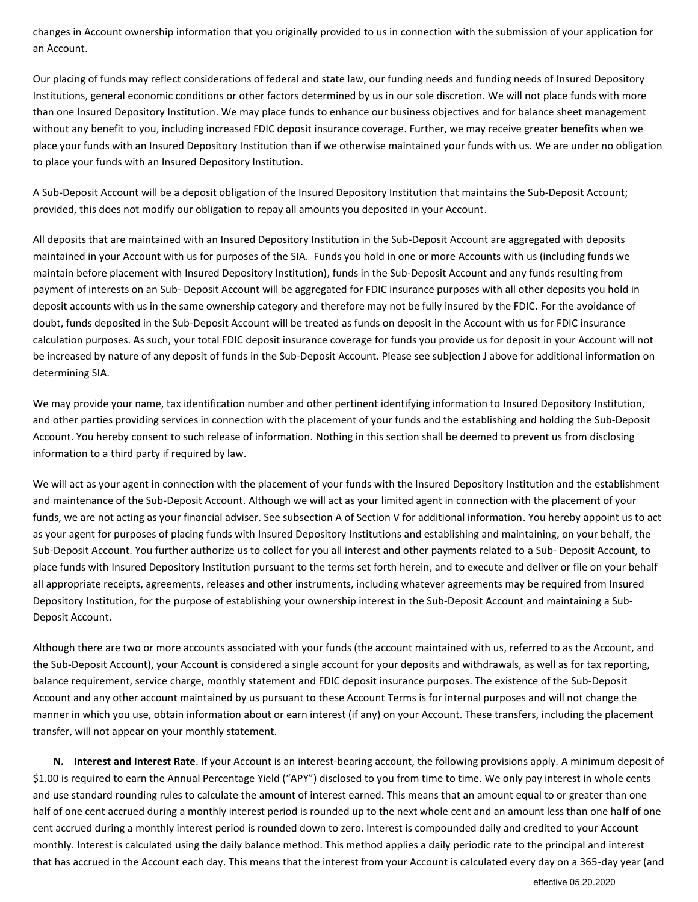changes in Account ownership information that you originally provided to us in connection with the submission of your application for an Account.

Our placing of funds may reflect considerations of federal and state law, our funding needs and funding needs of Insured Depository Institutions, general economic conditions or other factors determined by us in our sole discretion. We will not place funds with more than one Insured Depository Institution. We may place funds to enhance our business objectives and for balance sheet management without any benefit to you, including increased FDIC deposit insurance coverage. Further, we may receive greater benefits when we place your funds with an Insured Depository Institution than if we otherwise maintained your funds with us. We are under no obligation to place your funds with an Insured Depository Institution.

A Sub-Deposit Account will be a deposit obligation of the Insured Depository Institution that maintains the Sub-Deposit Account; provided, this does not modify our obligation to repay all amounts you deposited in your Account.

All deposits that are maintained with an Insured Depository Institution in the Sub-Deposit Account are aggregated with deposits maintained in your Account with us for purposes of the SIA. Funds you hold in one or more Accounts with us (including funds we maintain before placement with Insured Depository Institution), funds in the Sub-Deposit Account and any funds resulting from payment of interests on an Sub- Deposit Account will be aggregated for FDIC insurance purposes with all other deposits you hold in deposit accounts with us in the same ownership category and therefore may not be fully insured by the FDIC. For the avoidance of doubt, funds deposited in the Sub-Deposit Account will be treated as funds on deposit in the Account with us for FDIC insurance calculation purposes. As such, your total FDIC deposit insurance coverage for funds you provide us for deposit in your Account will not be increased by nature of any deposit of funds in the Sub-Deposit Account. Please see subjection J above for additional information on determining SIA.

We may provide your name, tax identification number and other pertinent identifying information to Insured Depository Institution, and other parties providing services in connection with the placement of your funds and the establishing and holding the Sub-Deposit Account. You hereby consent to such release of information. Nothing in this section shall be deemed to prevent us from disclosing information to a third party if required by law.

We will act as your agent in connection with the placement of your funds with the Insured Depository Institution and the establishment and maintenance of the Sub-Deposit Account. Although we will act as your limited agent in connection with the placement of your funds, we are not acting as your financial adviser. See subsection A of Section V for additional information. You hereby appoint us to act as your agent for purposes of placing funds with Insured Depository Institutions and establishing and maintaining, on your behalf, the Sub-Deposit Account. You further authorize us to collect for you all interest and other payments related to a Sub- Deposit Account, to place funds with Insured Depository Institution pursuant to the terms set forth herein, and to execute and deliver or file on your behalf all appropriate receipts, agreements, releases and other instruments, including whatever agreements may be required from Insured Depository Institution, for the purpose of establishing your ownership interest in the Sub-Deposit Account and maintaining a Sub-Deposit Account.

Although there are two or more accounts associated with your funds (the account maintained with us, referred to as the Account, and the Sub-Deposit Account), your Account is considered a single account for your deposits and withdrawals, as well as for tax reporting, balance requirement, service charge, monthly statement and FDIC deposit insurance purposes. The existence of the Sub-Deposit Account and any other account maintained by us pursuant to these Account Terms is for internal purposes and will not change the manner in which you use, obtain information about or earn interest (if any) on your Account. These transfers, including the placement transfer, will not appear on your monthly statement.

**N. Interest and Interest Rate**. If your Account is an interest-bearing account, the following provisions apply. A minimum deposit of \$1.00 is required to earn the Annual Percentage Yield ("APY") disclosed to you from time to time. We only pay interest in whole cents and use standard rounding rules to calculate the amount of interest earned. This means that an amount equal to or greater than one half of one cent accrued during a monthly interest period is rounded up to the next whole cent and an amount less than one half of one cent accrued during a monthly interest period is rounded down to zero. Interest is compounded daily and credited to your Account monthly. Interest is calculated using the daily balance method. This method applies a daily periodic rate to the principal and interest that has accrued in the Account each day. This means that the interest from your Account is calculated every day on a 365-day year (and

effective 05.20.2020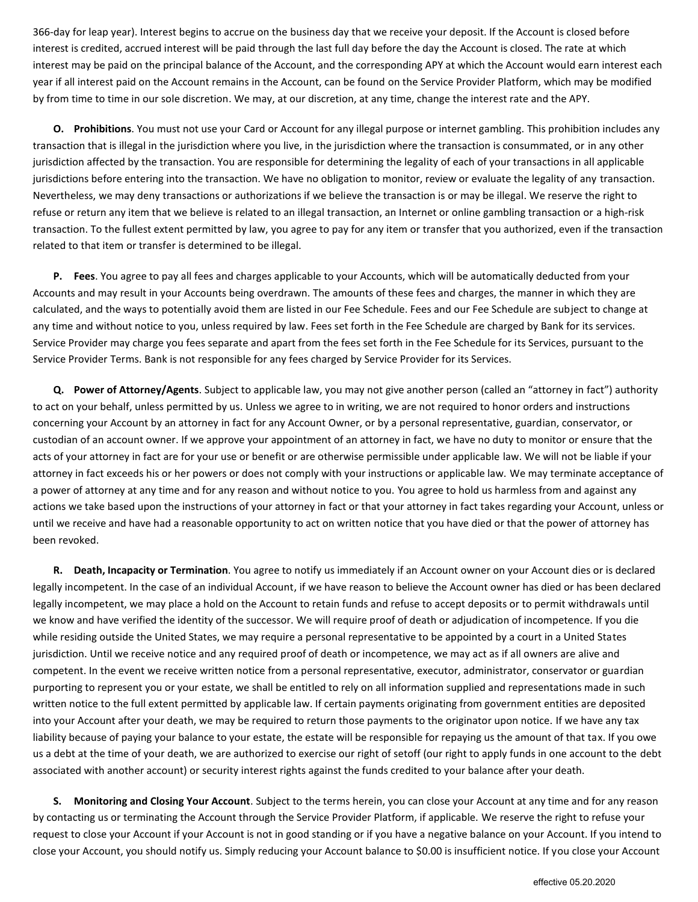366-day for leap year). Interest begins to accrue on the business day that we receive your deposit. If the Account is closed before interest is credited, accrued interest will be paid through the last full day before the day the Account is closed. The rate at which interest may be paid on the principal balance of the Account, and the corresponding APY at which the Account would earn interest each year if all interest paid on the Account remains in the Account, can be found on the Service Provider Platform, which may be modified by from time to time in our sole discretion. We may, at our discretion, at any time, change the interest rate and the APY.

**O. Prohibitions**. You must not use your Card or Account for any illegal purpose or internet gambling. This prohibition includes any transaction that is illegal in the jurisdiction where you live, in the jurisdiction where the transaction is consummated, or in any other jurisdiction affected by the transaction. You are responsible for determining the legality of each of your transactions in all applicable jurisdictions before entering into the transaction. We have no obligation to monitor, review or evaluate the legality of any transaction. Nevertheless, we may deny transactions or authorizations if we believe the transaction is or may be illegal. We reserve the right to refuse or return any item that we believe is related to an illegal transaction, an Internet or online gambling transaction or a high-risk transaction. To the fullest extent permitted by law, you agree to pay for any item or transfer that you authorized, even if the transaction related to that item or transfer is determined to be illegal.

**P. Fees**. You agree to pay all fees and charges applicable to your Accounts, which will be automatically deducted from your Accounts and may result in your Accounts being overdrawn. The amounts of these fees and charges, the manner in which they are calculated, and the ways to potentially avoid them are listed in our Fee Schedule. Fees and our Fee Schedule are subject to change at any time and without notice to you, unless required by law. Fees set forth in the Fee Schedule are charged by Bank for its services. Service Provider may charge you fees separate and apart from the fees set forth in the Fee Schedule for its Services, pursuant to the Service Provider Terms. Bank is not responsible for any fees charged by Service Provider for its Services.

**Q. Power of Attorney/Agents**. Subject to applicable law, you may not give another person (called an "attorney in fact") authority to act on your behalf, unless permitted by us. Unless we agree to in writing, we are not required to honor orders and instructions concerning your Account by an attorney in fact for any Account Owner, or by a personal representative, guardian, conservator, or custodian of an account owner. If we approve your appointment of an attorney in fact, we have no duty to monitor or ensure that the acts of your attorney in fact are for your use or benefit or are otherwise permissible under applicable law. We will not be liable if your attorney in fact exceeds his or her powers or does not comply with your instructions or applicable law. We may terminate acceptance of a power of attorney at any time and for any reason and without notice to you. You agree to hold us harmless from and against any actions we take based upon the instructions of your attorney in fact or that your attorney in fact takes regarding your Account, unless or until we receive and have had a reasonable opportunity to act on written notice that you have died or that the power of attorney has been revoked.

**R. Death, Incapacity or Termination**. You agree to notify us immediately if an Account owner on your Account dies or is declared legally incompetent. In the case of an individual Account, if we have reason to believe the Account owner has died or has been declared legally incompetent, we may place a hold on the Account to retain funds and refuse to accept deposits or to permit withdrawals until we know and have verified the identity of the successor. We will require proof of death or adjudication of incompetence. If you die while residing outside the United States, we may require a personal representative to be appointed by a court in a United States jurisdiction. Until we receive notice and any required proof of death or incompetence, we may act as if all owners are alive and competent. In the event we receive written notice from a personal representative, executor, administrator, conservator or guardian purporting to represent you or your estate, we shall be entitled to rely on all information supplied and representations made in such written notice to the full extent permitted by applicable law. If certain payments originating from government entities are deposited into your Account after your death, we may be required to return those payments to the originator upon notice. If we have any tax liability because of paying your balance to your estate, the estate will be responsible for repaying us the amount of that tax. If you owe us a debt at the time of your death, we are authorized to exercise our right of setoff (our right to apply funds in one account to the debt associated with another account) or security interest rights against the funds credited to your balance after your death.

**S. Monitoring and Closing Your Account**. Subject to the terms herein, you can close your Account at any time and for any reason by contacting us or terminating the Account through the Service Provider Platform, if applicable. We reserve the right to refuse your request to close your Account if your Account is not in good standing or if you have a negative balance on your Account. If you intend to close your Account, you should notify us. Simply reducing your Account balance to \$0.00 is insufficient notice. If you close your Account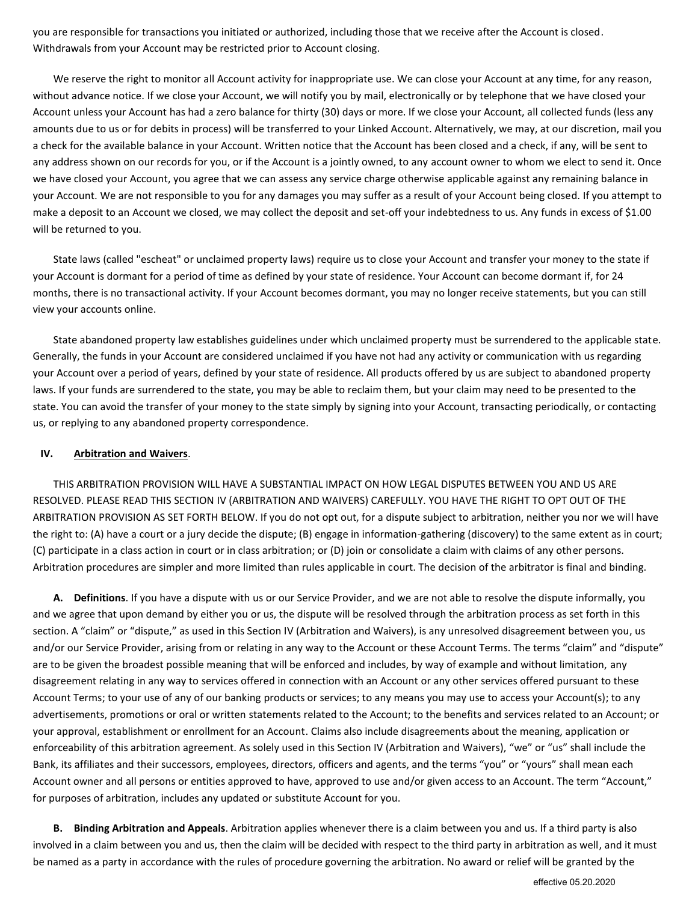you are responsible for transactions you initiated or authorized, including those that we receive after the Account is closed. Withdrawals from your Account may be restricted prior to Account closing.

We reserve the right to monitor all Account activity for inappropriate use. We can close your Account at any time, for any reason, without advance notice. If we close your Account, we will notify you by mail, electronically or by telephone that we have closed your Account unless your Account has had a zero balance for thirty (30) days or more. If we close your Account, all collected funds (less any amounts due to us or for debits in process) will be transferred to your Linked Account. Alternatively, we may, at our discretion, mail you a check for the available balance in your Account. Written notice that the Account has been closed and a check, if any, will be sent to any address shown on our records for you, or if the Account is a jointly owned, to any account owner to whom we elect to send it. Once we have closed your Account, you agree that we can assess any service charge otherwise applicable against any remaining balance in your Account. We are not responsible to you for any damages you may suffer as a result of your Account being closed. If you attempt to make a deposit to an Account we closed, we may collect the deposit and set-off your indebtedness to us. Any funds in excess of \$1.00 will be returned to you.

State laws (called "escheat" or unclaimed property laws) require us to close your Account and transfer your money to the state if your Account is dormant for a period of time as defined by your state of residence. Your Account can become dormant if, for 24 months, there is no transactional activity. If your Account becomes dormant, you may no longer receive statements, but you can still view your accounts online.

State abandoned property law establishes guidelines under which unclaimed property must be surrendered to the applicable state. Generally, the funds in your Account are considered unclaimed if you have not had any activity or communication with us regarding your Account over a period of years, defined by your state of residence. All products offered by us are subject to abandoned property laws. If your funds are surrendered to the state, you may be able to reclaim them, but your claim may need to be presented to the state. You can avoid the transfer of your money to the state simply by signing into your Account, transacting periodically, or contacting us, or replying to any abandoned property correspondence.

#### **IV. Arbitration and Waivers**.

THIS ARBITRATION PROVISION WILL HAVE A SUBSTANTIAL IMPACT ON HOW LEGAL DISPUTES BETWEEN YOU AND US ARE RESOLVED. PLEASE READ THIS SECTION IV (ARBITRATION AND WAIVERS) CAREFULLY. YOU HAVE THE RIGHT TO OPT OUT OF THE ARBITRATION PROVISION AS SET FORTH BELOW. If you do not opt out, for a dispute subject to arbitration, neither you nor we will have the right to: (A) have a court or a jury decide the dispute; (B) engage in information-gathering (discovery) to the same extent as in court; (C) participate in a class action in court or in class arbitration; or (D) join or consolidate a claim with claims of any other persons. Arbitration procedures are simpler and more limited than rules applicable in court. The decision of the arbitrator is final and binding.

**A. Definitions**. If you have a dispute with us or our Service Provider, and we are not able to resolve the dispute informally, you and we agree that upon demand by either you or us, the dispute will be resolved through the arbitration process as set forth in this section. A "claim" or "dispute," as used in this Section IV (Arbitration and Waivers), is any unresolved disagreement between you, us and/or our Service Provider, arising from or relating in any way to the Account or these Account Terms. The terms "claim" and "dispute" are to be given the broadest possible meaning that will be enforced and includes, by way of example and without limitation, any disagreement relating in any way to services offered in connection with an Account or any other services offered pursuant to these Account Terms; to your use of any of our banking products or services; to any means you may use to access your Account(s); to any advertisements, promotions or oral or written statements related to the Account; to the benefits and services related to an Account; or your approval, establishment or enrollment for an Account. Claims also include disagreements about the meaning, application or enforceability of this arbitration agreement. As solely used in this Section IV (Arbitration and Waivers), "we" or "us" shall include the Bank, its affiliates and their successors, employees, directors, officers and agents, and the terms "you" or "yours" shall mean each Account owner and all persons or entities approved to have, approved to use and/or given access to an Account. The term "Account," for purposes of arbitration, includes any updated or substitute Account for you.

**B. Binding Arbitration and Appeals**. Arbitration applies whenever there is a claim between you and us. If a third party is also involved in a claim between you and us, then the claim will be decided with respect to the third party in arbitration as well, and it must be named as a party in accordance with the rules of procedure governing the arbitration. No award or relief will be granted by the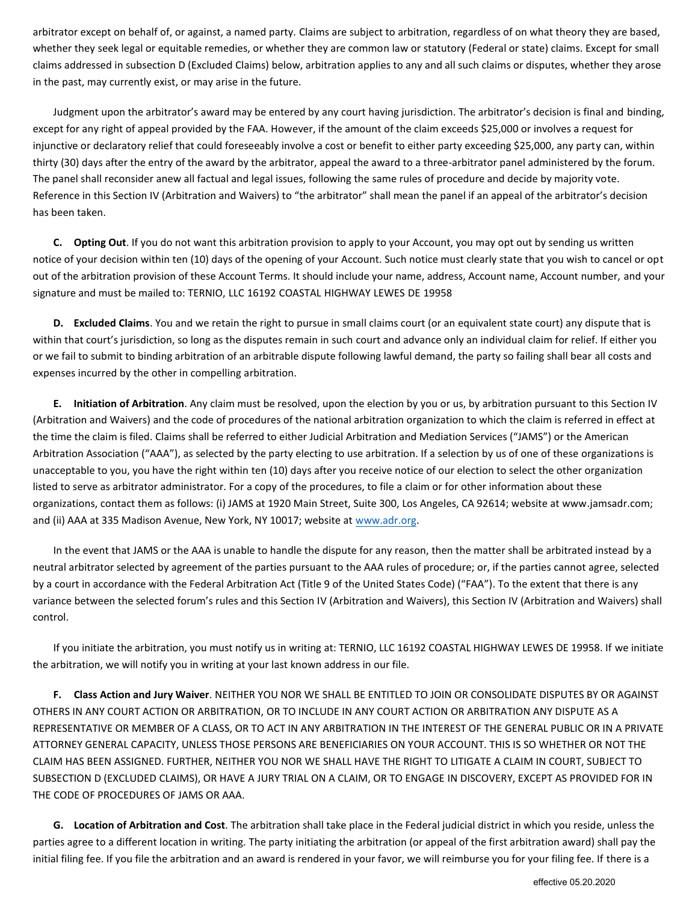arbitrator except on behalf of, or against, a named party. Claims are subject to arbitration, regardless of on what theory they are based, whether they seek legal or equitable remedies, or whether they are common law or statutory (Federal or state) claims. Except for small claims addressed in subsection D (Excluded Claims) below, arbitration applies to any and all such claims or disputes, whether they arose in the past, may currently exist, or may arise in the future.

Judgment upon the arbitrator's award may be entered by any court having jurisdiction. The arbitrator's decision is final and binding, except for any right of appeal provided by the FAA. However, if the amount of the claim exceeds \$25,000 or involves a request for injunctive or declaratory relief that could foreseeably involve a cost or benefit to either party exceeding \$25,000, any party can, within thirty (30) days after the entry of the award by the arbitrator, appeal the award to a three-arbitrator panel administered by the forum. The panel shall reconsider anew all factual and legal issues, following the same rules of procedure and decide by majority vote. Reference in this Section IV (Arbitration and Waivers) to "the arbitrator" shall mean the panel if an appeal of the arbitrator's decision has been taken.

**C. Opting Out**. If you do not want this arbitration provision to apply to your Account, you may opt out by sending us written notice of your decision within ten (10) days of the opening of your Account. Such notice must clearly state that you wish to cancel or opt out of the arbitration provision of these Account Terms. It should include your name, address, Account name, Account number, and your signature and must be mailed to: TERNIO, LLC 16192 COASTAL HIGHWAY LEWES DE 19958

**D. Excluded Claims**. You and we retain the right to pursue in small claims court (or an equivalent state court) any dispute that is within that court's jurisdiction, so long as the disputes remain in such court and advance only an individual claim for relief. If either you or we fail to submit to binding arbitration of an arbitrable dispute following lawful demand, the party so failing shall bear all costs and expenses incurred by the other in compelling arbitration.

**E. Initiation of Arbitration**. Any claim must be resolved, upon the election by you or us, by arbitration pursuant to this Section IV (Arbitration and Waivers) and the code of procedures of the national arbitration organization to which the claim is referred in effect at the time the claim is filed. Claims shall be referred to either Judicial Arbitration and Mediation Services ("JAMS") or the American Arbitration Association ("AAA"), as selected by the party electing to use arbitration. If a selection by us of one of these organizations is unacceptable to you, you have the right within ten (10) days after you receive notice of our election to select the other organization listed to serve as arbitrator administrator. For a copy of the procedures, to file a claim or for other information about these organizations, contact them as follows: (i) JAMS at 1920 Main Street, Suite 300, Los Angeles, CA 92614; website at www.jamsadr.com; and (ii) AAA at 335 Madison Avenue, New York, NY 10017; website at [www.adr.org.](http://www.adr.org/) 

In the event that JAMS or the AAA is unable to handle the dispute for any reason, then the matter shall be arbitrated instead by a neutral arbitrator selected by agreement of the parties pursuant to the AAA rules of procedure; or, if the parties cannot agree, selected by a court in accordance with the Federal Arbitration Act (Title 9 of the United States Code) ("FAA"). To the extent that there is any variance between the selected forum's rules and this Section IV (Arbitration and Waivers), this Section IV (Arbitration and Waivers) shall control.

If you initiate the arbitration, you must notify us in writing at: TERNIO, LLC 16192 COASTAL HIGHWAY LEWES DE 19958. If we initiate the arbitration, we will notify you in writing at your last known address in our file.

**F. Class Action and Jury Waiver**. NEITHER YOU NOR WE SHALL BE ENTITLED TO JOIN OR CONSOLIDATE DISPUTES BY OR AGAINST OTHERS IN ANY COURT ACTION OR ARBITRATION, OR TO INCLUDE IN ANY COURT ACTION OR ARBITRATION ANY DISPUTE AS A REPRESENTATIVE OR MEMBER OF A CLASS, OR TO ACT IN ANY ARBITRATION IN THE INTEREST OF THE GENERAL PUBLIC OR IN A PRIVATE ATTORNEY GENERAL CAPACITY, UNLESS THOSE PERSONS ARE BENEFICIARIES ON YOUR ACCOUNT. THIS IS SO WHETHER OR NOT THE CLAIM HAS BEEN ASSIGNED. FURTHER, NEITHER YOU NOR WE SHALL HAVE THE RIGHT TO LITIGATE A CLAIM IN COURT, SUBJECT TO SUBSECTION D (EXCLUDED CLAIMS), OR HAVE A JURY TRIAL ON A CLAIM, OR TO ENGAGE IN DISCOVERY, EXCEPT AS PROVIDED FOR IN THE CODE OF PROCEDURES OF JAMS OR AAA.

**G. Location of Arbitration and Cost**. The arbitration shall take place in the Federal judicial district in which you reside, unless the parties agree to a different location in writing. The party initiating the arbitration (or appeal of the first arbitration award) shall pay the initial filing fee. If you file the arbitration and an award is rendered in your favor, we will reimburse you for your filing fee. If there is a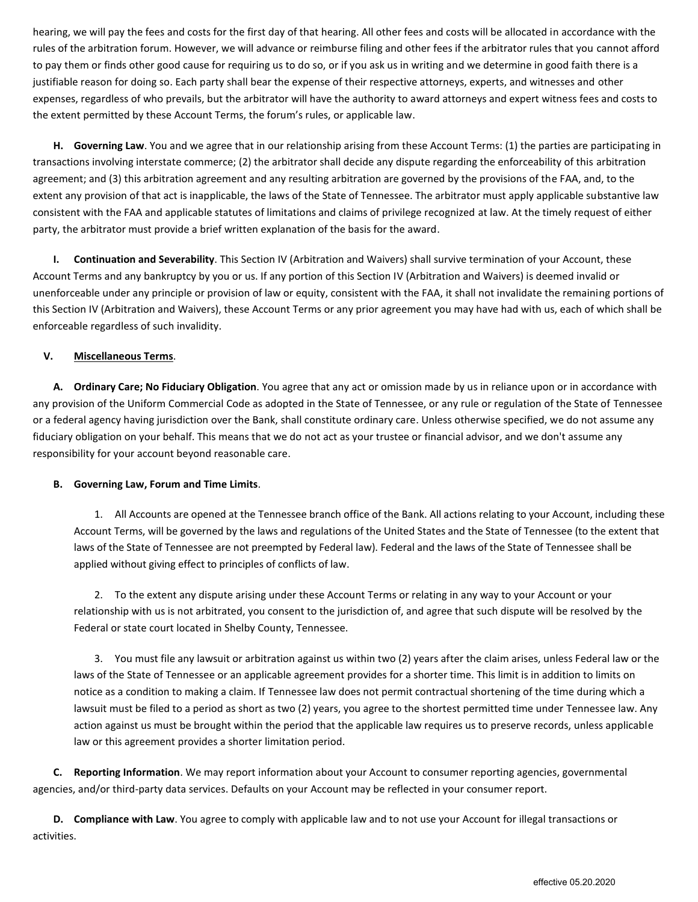hearing, we will pay the fees and costs for the first day of that hearing. All other fees and costs will be allocated in accordance with the rules of the arbitration forum. However, we will advance or reimburse filing and other fees if the arbitrator rules that you cannot afford to pay them or finds other good cause for requiring us to do so, or if you ask us in writing and we determine in good faith there is a justifiable reason for doing so. Each party shall bear the expense of their respective attorneys, experts, and witnesses and other expenses, regardless of who prevails, but the arbitrator will have the authority to award attorneys and expert witness fees and costs to the extent permitted by these Account Terms, the forum's rules, or applicable law.

**H. Governing Law**. You and we agree that in our relationship arising from these Account Terms: (1) the parties are participating in transactions involving interstate commerce; (2) the arbitrator shall decide any dispute regarding the enforceability of this arbitration agreement; and (3) this arbitration agreement and any resulting arbitration are governed by the provisions of the FAA, and, to the extent any provision of that act is inapplicable, the laws of the State of Tennessee. The arbitrator must apply applicable substantive law consistent with the FAA and applicable statutes of limitations and claims of privilege recognized at law. At the timely request of either party, the arbitrator must provide a brief written explanation of the basis for the award.

**I. Continuation and Severability**. This Section IV (Arbitration and Waivers) shall survive termination of your Account, these Account Terms and any bankruptcy by you or us. If any portion of this Section IV (Arbitration and Waivers) is deemed invalid or unenforceable under any principle or provision of law or equity, consistent with the FAA, it shall not invalidate the remaining portions of this Section IV (Arbitration and Waivers), these Account Terms or any prior agreement you may have had with us, each of which shall be enforceable regardless of such invalidity.

# **V. Miscellaneous Terms**.

**A. Ordinary Care; No Fiduciary Obligation**. You agree that any act or omission made by us in reliance upon or in accordance with any provision of the Uniform Commercial Code as adopted in the State of Tennessee, or any rule or regulation of the State of Tennessee or a federal agency having jurisdiction over the Bank, shall constitute ordinary care. Unless otherwise specified, we do not assume any fiduciary obligation on your behalf. This means that we do not act as your trustee or financial advisor, and we don't assume any responsibility for your account beyond reasonable care.

# **B. Governing Law, Forum and Time Limits**.

1. All Accounts are opened at the Tennessee branch office of the Bank. All actions relating to your Account, including these Account Terms, will be governed by the laws and regulations of the United States and the State of Tennessee (to the extent that laws of the State of Tennessee are not preempted by Federal law). Federal and the laws of the State of Tennessee shall be applied without giving effect to principles of conflicts of law.

2. To the extent any dispute arising under these Account Terms or relating in any way to your Account or your relationship with us is not arbitrated, you consent to the jurisdiction of, and agree that such dispute will be resolved by the Federal or state court located in Shelby County, Tennessee.

3. You must file any lawsuit or arbitration against us within two (2) years after the claim arises, unless Federal law or the laws of the State of Tennessee or an applicable agreement provides for a shorter time. This limit is in addition to limits on notice as a condition to making a claim. If Tennessee law does not permit contractual shortening of the time during which a lawsuit must be filed to a period as short as two (2) years, you agree to the shortest permitted time under Tennessee law. Any action against us must be brought within the period that the applicable law requires us to preserve records, unless applicable law or this agreement provides a shorter limitation period.

**C. Reporting Information**. We may report information about your Account to consumer reporting agencies, governmental agencies, and/or third-party data services. Defaults on your Account may be reflected in your consumer report.

**D. Compliance with Law**. You agree to comply with applicable law and to not use your Account for illegal transactions or activities.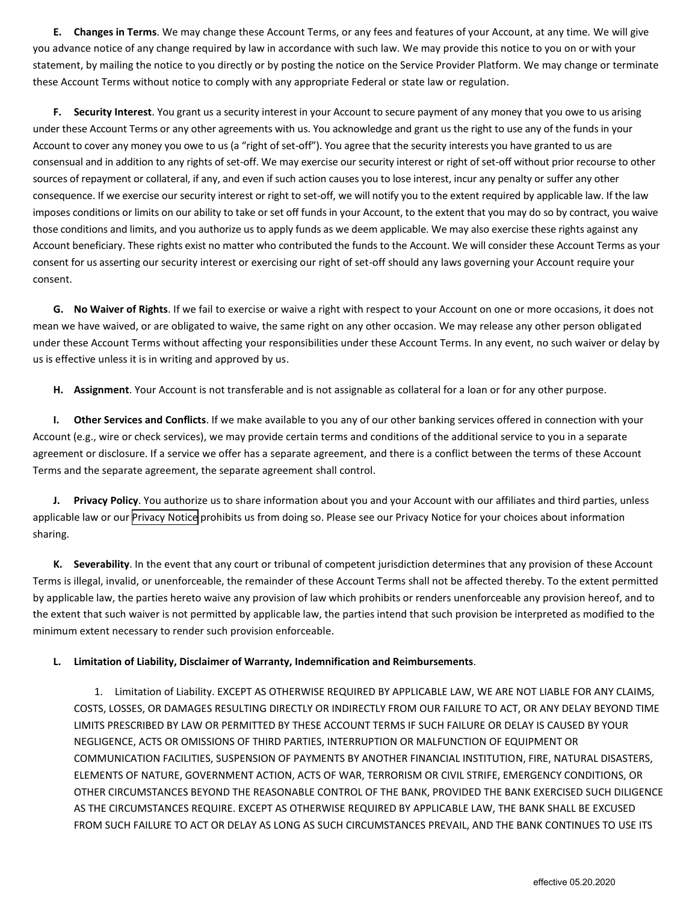**E. Changes in Terms**. We may change these Account Terms, or any fees and features of your Account, at any time. We will give you advance notice of any change required by law in accordance with such law. We may provide this notice to you on or with your statement, by mailing the notice to you directly or by posting the notice on the Service Provider Platform. We may change or terminate these Account Terms without notice to comply with any appropriate Federal or state law or regulation.

**F. Security Interest**. You grant us a security interest in your Account to secure payment of any money that you owe to us arising under these Account Terms or any other agreements with us. You acknowledge and grant us the right to use any of the funds in your Account to cover any money you owe to us (a "right of set-off"). You agree that the security interests you have granted to us are consensual and in addition to any rights of set-off. We may exercise our security interest or right of set-off without prior recourse to other sources of repayment or collateral, if any, and even if such action causes you to lose interest, incur any penalty or suffer any other consequence. If we exercise our security interest or right to set-off, we will notify you to the extent required by applicable law. If the law imposes conditions or limits on our ability to take or set off funds in your Account, to the extent that you may do so by contract, you waive those conditions and limits, and you authorize us to apply funds as we deem applicable. We may also exercise these rights against any Account beneficiary. These rights exist no matter who contributed the funds to the Account. We will consider these Account Terms as your consent for us asserting our security interest or exercising our right of set-off should any laws governing your Account require your consent.

**G. No Waiver of Rights**. If we fail to exercise or waive a right with respect to your Account on one or more occasions, it does not mean we have waived, or are obligated to waive, the same right on any other occasion. We may release any other person obligated under these Account Terms without affecting your responsibilities under these Account Terms. In any event, no such waiver or delay by us is effective unless it is in writing and approved by us.

**H. Assignment**. Your Account is not transferable and is not assignable as collateral for a loan or for any other purpose.

**I. Other Services and Conflicts**. If we make available to you any of our other banking services offered in connection with your Account (e.g., wire or check services), we may provide certain terms and conditions of the additional service to you in a separate agreement or disclosure. If a service we offer has a separate agreement, and there is a conflict between the terms of these Account Terms and the separate agreement, the separate agreement shall control.

**J. Privacy Policy**. You authorize us to share information about you and your Account with our affiliates and third parties, unless applicable law or our [Privacy Notice](https://getblockcard.com/privacy-policy/%20) prohibits us from doing so. Please see our Privacy Notice for your choices about information sharing.

**K. Severability**. In the event that any court or tribunal of competent jurisdiction determines that any provision of these Account Terms is illegal, invalid, or unenforceable, the remainder of these Account Terms shall not be affected thereby. To the extent permitted by applicable law, the parties hereto waive any provision of law which prohibits or renders unenforceable any provision hereof, and to the extent that such waiver is not permitted by applicable law, the parties intend that such provision be interpreted as modified to the minimum extent necessary to render such provision enforceable.

# **L. Limitation of Liability, Disclaimer of Warranty, Indemnification and Reimbursements**.

1. Limitation of Liability. EXCEPT AS OTHERWISE REQUIRED BY APPLICABLE LAW, WE ARE NOT LIABLE FOR ANY CLAIMS, COSTS, LOSSES, OR DAMAGES RESULTING DIRECTLY OR INDIRECTLY FROM OUR FAILURE TO ACT, OR ANY DELAY BEYOND TIME LIMITS PRESCRIBED BY LAW OR PERMITTED BY THESE ACCOUNT TERMS IF SUCH FAILURE OR DELAY IS CAUSED BY YOUR NEGLIGENCE, ACTS OR OMISSIONS OF THIRD PARTIES, INTERRUPTION OR MALFUNCTION OF EQUIPMENT OR COMMUNICATION FACILITIES, SUSPENSION OF PAYMENTS BY ANOTHER FINANCIAL INSTITUTION, FIRE, NATURAL DISASTERS, ELEMENTS OF NATURE, GOVERNMENT ACTION, ACTS OF WAR, TERRORISM OR CIVIL STRIFE, EMERGENCY CONDITIONS, OR OTHER CIRCUMSTANCES BEYOND THE REASONABLE CONTROL OF THE BANK, PROVIDED THE BANK EXERCISED SUCH DILIGENCE AS THE CIRCUMSTANCES REQUIRE. EXCEPT AS OTHERWISE REQUIRED BY APPLICABLE LAW, THE BANK SHALL BE EXCUSED FROM SUCH FAILURE TO ACT OR DELAY AS LONG AS SUCH CIRCUMSTANCES PREVAIL, AND THE BANK CONTINUES TO USE ITS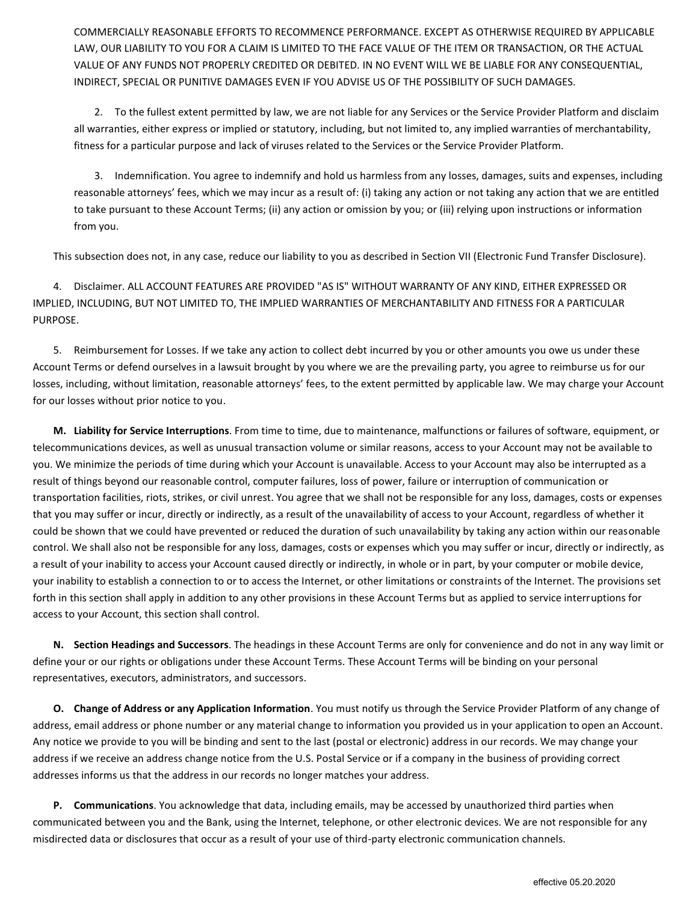COMMERCIALLY REASONABLE EFFORTS TO RECOMMENCE PERFORMANCE. EXCEPT AS OTHERWISE REQUIRED BY APPLICABLE LAW, OUR LIABILITY TO YOU FOR A CLAIM IS LIMITED TO THE FACE VALUE OF THE ITEM OR TRANSACTION, OR THE ACTUAL VALUE OF ANY FUNDS NOT PROPERLY CREDITED OR DEBITED. IN NO EVENT WILL WE BE LIABLE FOR ANY CONSEQUENTIAL, INDIRECT, SPECIAL OR PUNITIVE DAMAGES EVEN IF YOU ADVISE US OF THE POSSIBILITY OF SUCH DAMAGES.

2. To the fullest extent permitted by law, we are not liable for any Services or the Service Provider Platform and disclaim all warranties, either express or implied or statutory, including, but not limited to, any implied warranties of merchantability, fitness for a particular purpose and lack of viruses related to the Services or the Service Provider Platform.

3. Indemnification. You agree to indemnify and hold us harmless from any losses, damages, suits and expenses, including reasonable attorneys' fees, which we may incur as a result of: (i) taking any action or not taking any action that we are entitled to take pursuant to these Account Terms; (ii) any action or omission by you; or (iii) relying upon instructions or information from you.

This subsection does not, in any case, reduce our liability to you as described in Section VII (Electronic Fund Transfer Disclosure).

4. Disclaimer. ALL ACCOUNT FEATURES ARE PROVIDED "AS IS" WITHOUT WARRANTY OF ANY KIND, EITHER EXPRESSED OR IMPLIED, INCLUDING, BUT NOT LIMITED TO, THE IMPLIED WARRANTIES OF MERCHANTABILITY AND FITNESS FOR A PARTICULAR PURPOSE.

5. Reimbursement for Losses. If we take any action to collect debt incurred by you or other amounts you owe us under these Account Terms or defend ourselves in a lawsuit brought by you where we are the prevailing party, you agree to reimburse us for our losses, including, without limitation, reasonable attorneys' fees, to the extent permitted by applicable law. We may charge your Account for our losses without prior notice to you.

**M. Liability for Service Interruptions**. From time to time, due to maintenance, malfunctions or failures of software, equipment, or telecommunications devices, as well as unusual transaction volume or similar reasons, access to your Account may not be available to you. We minimize the periods of time during which your Account is unavailable. Access to your Account may also be interrupted as a result of things beyond our reasonable control, computer failures, loss of power, failure or interruption of communication or transportation facilities, riots, strikes, or civil unrest. You agree that we shall not be responsible for any loss, damages, costs or expenses that you may suffer or incur, directly or indirectly, as a result of the unavailability of access to your Account, regardless of whether it could be shown that we could have prevented or reduced the duration of such unavailability by taking any action within our reasonable control. We shall also not be responsible for any loss, damages, costs or expenses which you may suffer or incur, directly or indirectly, as a result of your inability to access your Account caused directly or indirectly, in whole or in part, by your computer or mobile device, your inability to establish a connection to or to access the Internet, or other limitations or constraints of the Internet. The provisions set forth in this section shall apply in addition to any other provisions in these Account Terms but as applied to service interruptions for access to your Account, this section shall control.

**N. Section Headings and Successors**. The headings in these Account Terms are only for convenience and do not in any way limit or define your or our rights or obligations under these Account Terms. These Account Terms will be binding on your personal representatives, executors, administrators, and successors.

**O. Change of Address or any Application Information**. You must notify us through the Service Provider Platform of any change of address, email address or phone number or any material change to information you provided us in your application to open an Account. Any notice we provide to you will be binding and sent to the last (postal or electronic) address in our records. We may change your address if we receive an address change notice from the U.S. Postal Service or if a company in the business of providing correct addresses informs us that the address in our records no longer matches your address.

**P. Communications**. You acknowledge that data, including emails, may be accessed by unauthorized third parties when communicated between you and the Bank, using the Internet, telephone, or other electronic devices. We are not responsible for any misdirected data or disclosures that occur as a result of your use of third-party electronic communication channels.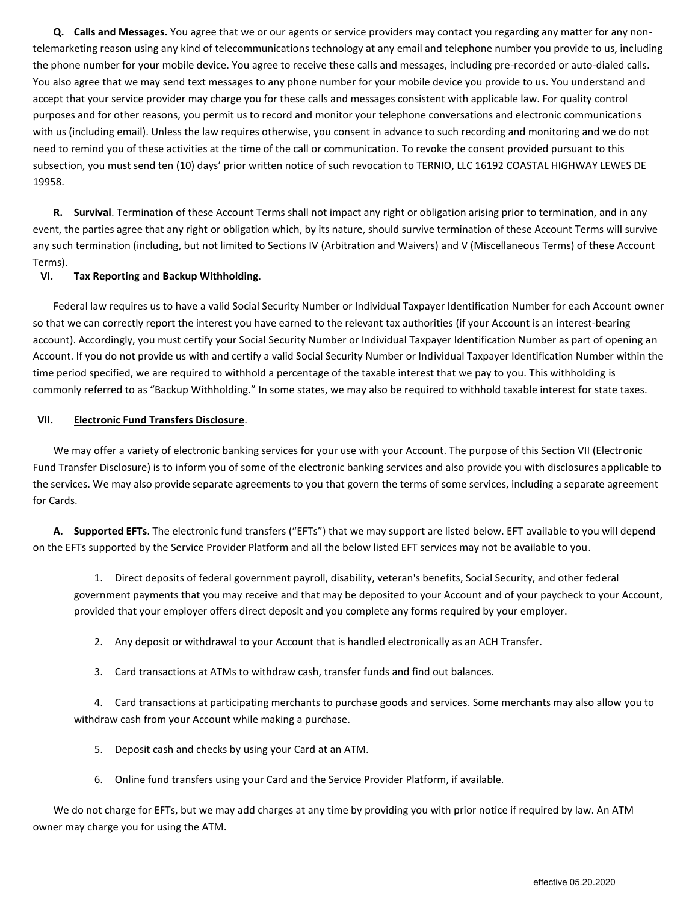**Q. Calls and Messages.** You agree that we or our agents or service providers may contact you regarding any matter for any nontelemarketing reason using any kind of telecommunications technology at any email and telephone number you provide to us, including the phone number for your mobile device. You agree to receive these calls and messages, including pre-recorded or auto-dialed calls. You also agree that we may send text messages to any phone number for your mobile device you provide to us. You understand and accept that your service provider may charge you for these calls and messages consistent with applicable law. For quality control purposes and for other reasons, you permit us to record and monitor your telephone conversations and electronic communications with us (including email). Unless the law requires otherwise, you consent in advance to such recording and monitoring and we do not need to remind you of these activities at the time of the call or communication. To revoke the consent provided pursuant to this subsection, you must send ten (10) days' prior written notice of such revocation to TERNIO, LLC 16192 COASTAL HIGHWAY LEWES DE 19958.

**R. Survival**. Termination of these Account Terms shall not impact any right or obligation arising prior to termination, and in any event, the parties agree that any right or obligation which, by its nature, should survive termination of these Account Terms will survive any such termination (including, but not limited to Sections IV (Arbitration and Waivers) and V (Miscellaneous Terms) of these Account Terms).

## **VI. Tax Reporting and Backup Withholding**.

Federal law requires us to have a valid Social Security Number or Individual Taxpayer Identification Number for each Account owner so that we can correctly report the interest you have earned to the relevant tax authorities (if your Account is an interest-bearing account). Accordingly, you must certify your Social Security Number or Individual Taxpayer Identification Number as part of opening an Account. If you do not provide us with and certify a valid Social Security Number or Individual Taxpayer Identification Number within the time period specified, we are required to withhold a percentage of the taxable interest that we pay to you. This withholding is commonly referred to as "Backup Withholding." In some states, we may also be required to withhold taxable interest for state taxes.

## **VII. Electronic Fund Transfers Disclosure**.

We may offer a variety of electronic banking services for your use with your Account. The purpose of this Section VII (Electronic Fund Transfer Disclosure) is to inform you of some of the electronic banking services and also provide you with disclosures applicable to the services. We may also provide separate agreements to you that govern the terms of some services, including a separate agreement for Cards.

**A. Supported EFTs**. The electronic fund transfers ("EFTs") that we may support are listed below. EFT available to you will depend on the EFTs supported by the Service Provider Platform and all the below listed EFT services may not be available to you.

1. Direct deposits of federal government payroll, disability, veteran's benefits, Social Security, and other federal government payments that you may receive and that may be deposited to your Account and of your paycheck to your Account, provided that your employer offers direct deposit and you complete any forms required by your employer.

- 2. Any deposit or withdrawal to your Account that is handled electronically as an ACH Transfer.
- 3. Card transactions at ATMs to withdraw cash, transfer funds and find out balances.

4. Card transactions at participating merchants to purchase goods and services. Some merchants may also allow you to withdraw cash from your Account while making a purchase.

- 5. Deposit cash and checks by using your Card at an ATM.
- 6. Online fund transfers using your Card and the Service Provider Platform, if available.

We do not charge for EFTs, but we may add charges at any time by providing you with prior notice if required by law. An ATM owner may charge you for using the ATM.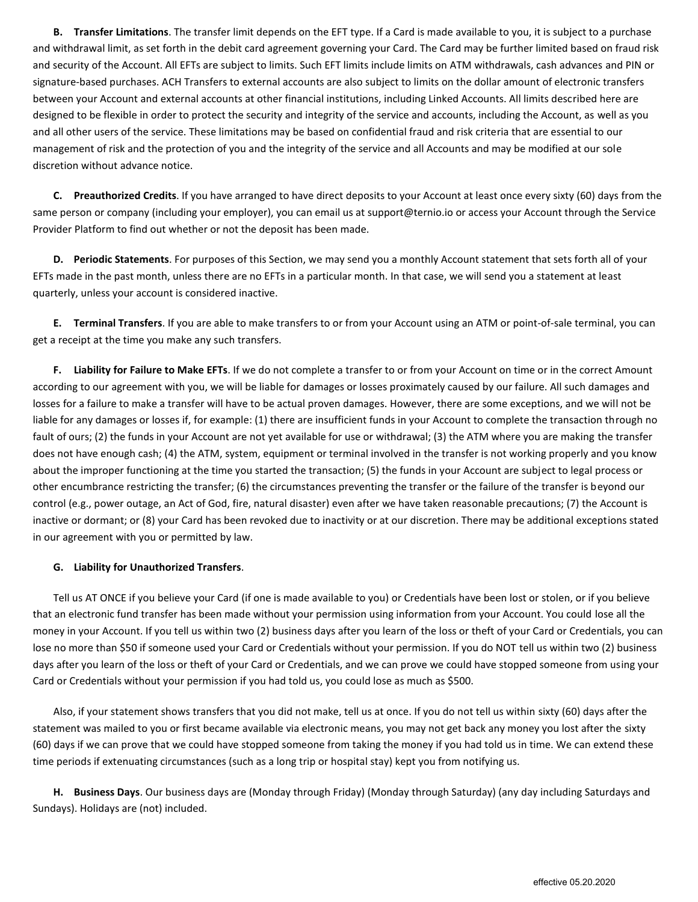**B. Transfer Limitations**. The transfer limit depends on the EFT type. If a Card is made available to you, it is subject to a purchase and withdrawal limit, as set forth in the debit card agreement governing your Card. The Card may be further limited based on fraud risk and security of the Account. All EFTs are subject to limits. Such EFT limits include limits on ATM withdrawals, cash advances and PIN or signature-based purchases. ACH Transfers to external accounts are also subject to limits on the dollar amount of electronic transfers between your Account and external accounts at other financial institutions, including Linked Accounts. All limits described here are designed to be flexible in order to protect the security and integrity of the service and accounts, including the Account, as well as you and all other users of the service. These limitations may be based on confidential fraud and risk criteria that are essential to our management of risk and the protection of you and the integrity of the service and all Accounts and may be modified at our sole discretion without advance notice.

**C. Preauthorized Credits**. If you have arranged to have direct deposits to your Account at least once every sixty (60) days from the same person or company (including your employer), you can email us at support@ternio.io or access your Account through the Service Provider Platform to find out whether or not the deposit has been made.

**D. Periodic Statements**. For purposes of this Section, we may send you a monthly Account statement that sets forth all of your EFTs made in the past month, unless there are no EFTs in a particular month. In that case, we will send you a statement at least quarterly, unless your account is considered inactive.

**E. Terminal Transfers**. If you are able to make transfers to or from your Account using an ATM or point-of-sale terminal, you can get a receipt at the time you make any such transfers.

**F. Liability for Failure to Make EFTs**. If we do not complete a transfer to or from your Account on time or in the correct Amount according to our agreement with you, we will be liable for damages or losses proximately caused by our failure. All such damages and losses for a failure to make a transfer will have to be actual proven damages. However, there are some exceptions, and we will not be liable for any damages or losses if, for example: (1) there are insufficient funds in your Account to complete the transaction through no fault of ours; (2) the funds in your Account are not yet available for use or withdrawal; (3) the ATM where you are making the transfer does not have enough cash; (4) the ATM, system, equipment or terminal involved in the transfer is not working properly and you know about the improper functioning at the time you started the transaction; (5) the funds in your Account are subject to legal process or other encumbrance restricting the transfer; (6) the circumstances preventing the transfer or the failure of the transfer is beyond our control (e.g., power outage, an Act of God, fire, natural disaster) even after we have taken reasonable precautions; (7) the Account is inactive or dormant; or (8) your Card has been revoked due to inactivity or at our discretion. There may be additional exceptions stated in our agreement with you or permitted by law.

# **G. Liability for Unauthorized Transfers**.

Tell us AT ONCE if you believe your Card (if one is made available to you) or Credentials have been lost or stolen, or if you believe that an electronic fund transfer has been made without your permission using information from your Account. You could lose all the money in your Account. If you tell us within two (2) business days after you learn of the loss or theft of your Card or Credentials, you can lose no more than \$50 if someone used your Card or Credentials without your permission. If you do NOT tell us within two (2) business days after you learn of the loss or theft of your Card or Credentials, and we can prove we could have stopped someone from using your Card or Credentials without your permission if you had told us, you could lose as much as \$500.

Also, if your statement shows transfers that you did not make, tell us at once. If you do not tell us within sixty (60) days after the statement was mailed to you or first became available via electronic means, you may not get back any money you lost after the sixty (60) days if we can prove that we could have stopped someone from taking the money if you had told us in time. We can extend these time periods if extenuating circumstances (such as a long trip or hospital stay) kept you from notifying us.

**H. Business Days**. Our business days are (Monday through Friday) (Monday through Saturday) (any day including Saturdays and Sundays). Holidays are (not) included.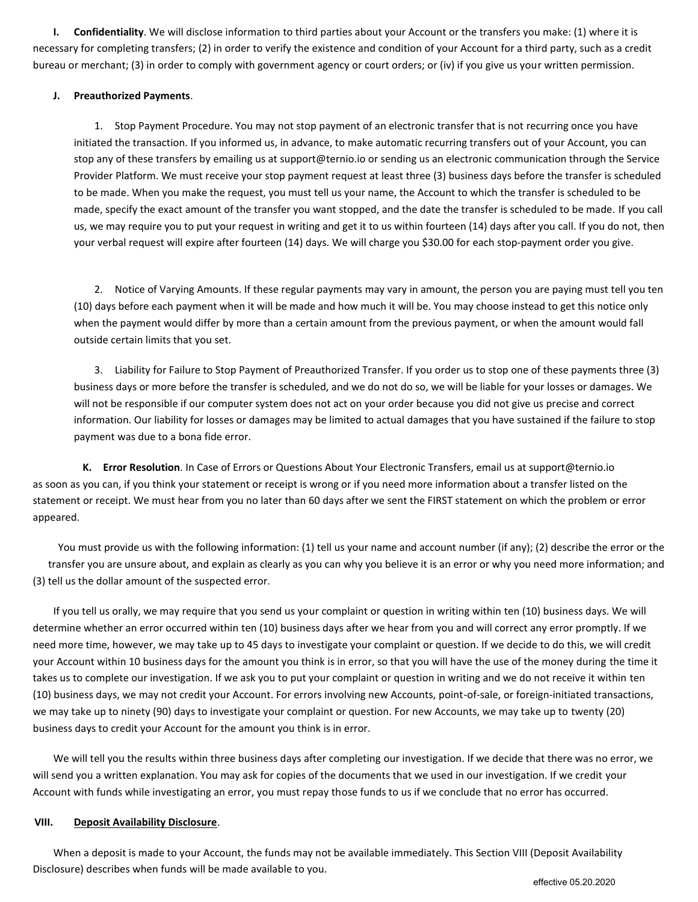**I. Confidentiality**. We will disclose information to third parties about your Account or the transfers you make: (1) where it is necessary for completing transfers; (2) in order to verify the existence and condition of your Account for a third party, such as a credit bureau or merchant; (3) in order to comply with government agency or court orders; or (iv) if you give us your written permission.

# **J. Preauthorized Payments**.

1. Stop Payment Procedure. You may not stop payment of an electronic transfer that is not recurring once you have initiated the transaction. If you informed us, in advance, to make automatic recurring transfers out of your Account, you can stop any of these transfers by emailing us at support@ternio.io or sending us an electronic communication through the Service Provider Platform. We must receive your stop payment request at least three (3) business days before the transfer is scheduled to be made. When you make the request, you must tell us your name, the Account to which the transfer is scheduled to be made, specify the exact amount of the transfer you want stopped, and the date the transfer is scheduled to be made. If you call us, we may require you to put your request in writing and get it to us within fourteen (14) days after you call. If you do not, then your verbal request will expire after fourteen (14) days. We will charge you \$30.00 for each stop-payment order you give.

2. Notice of Varying Amounts. If these regular payments may vary in amount, the person you are paying must tell you ten (10) days before each payment when it will be made and how much it will be. You may choose instead to get this notice only when the payment would differ by more than a certain amount from the previous payment, or when the amount would fall outside certain limits that you set.

3. Liability for Failure to Stop Payment of Preauthorized Transfer. If you order us to stop one of these payments three (3) business days or more before the transfer is scheduled, and we do not do so, we will be liable for your losses or damages. We will not be responsible if our computer system does not act on your order because you did not give us precise and correct information. Our liability for losses or damages may be limited to actual damages that you have sustained if the failure to stop payment was due to a bona fide error.

**K. Error Resolution**. In Case of Errors or Questions About Your Electronic Transfers, email us at support@ternio.io as soon as you can, if you think your statement or receipt is wrong or if you need more information about a transfer listed on the statement or receipt. We must hear from you no later than 60 days after we sent the FIRST statement on which the problem or error appeared.

You must provide us with the following information: (1) tell us your name and account number (if any); (2) describe the error or the transfer you are unsure about, and explain as clearly as you can why you believe it is an error or why you need more information; and (3) tell us the dollar amount of the suspected error.

If you tell us orally, we may require that you send us your complaint or question in writing within ten (10) business days. We will determine whether an error occurred within ten (10) business days after we hear from you and will correct any error promptly. If we need more time, however, we may take up to 45 days to investigate your complaint or question. If we decide to do this, we will credit your Account within 10 business days for the amount you think is in error, so that you will have the use of the money during the time it takes us to complete our investigation. If we ask you to put your complaint or question in writing and we do not receive it within ten (10) business days, we may not credit your Account. For errors involving new Accounts, point-of-sale, or foreign-initiated transactions, we may take up to ninety (90) days to investigate your complaint or question. For new Accounts, we may take up to twenty (20) business days to credit your Account for the amount you think is in error.

We will tell you the results within three business days after completing our investigation. If we decide that there was no error, we will send you a written explanation. You may ask for copies of the documents that we used in our investigation. If we credit your Account with funds while investigating an error, you must repay those funds to us if we conclude that no error has occurred.

## **VIII. Deposit Availability Disclosure**.

When a deposit is made to your Account, the funds may not be available immediately. This Section VIII (Deposit Availability Disclosure) describes when funds will be made available to you.